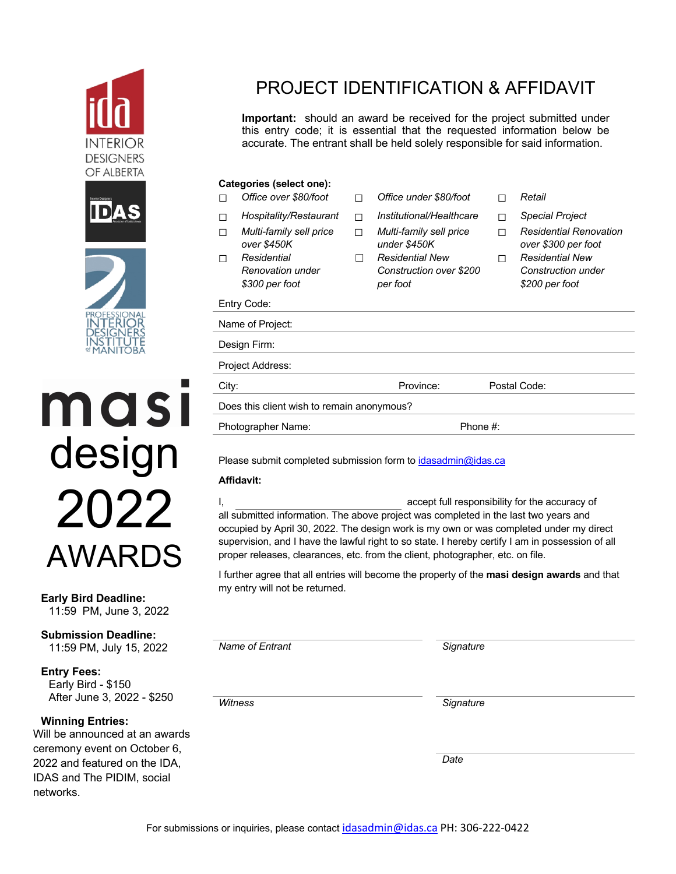





ması design 2022 AWARDS

#### **Early Bird Deadline:**  11:59 PM, June 3, 2022

**Submission Deadline:** 11:59 PM, July 15, 2022

**Entry Fees:** Early Bird - \$150 After June 3, 2022 - \$250

### **Winning Entries:**

Will be announced at an awards ceremony event on October 6, 2022 and featured on the IDA, IDAS and The PIDIM, social networks.

## PROJECT IDENTIFICATION & AFFIDAVIT

**Important:** should an award be received for the project submitted under this entry code; it is essential that the requested information below be accurate. The entrant shall be held solely responsible for said information.

### **Categories (select one):**

- 
- 
- ☐ *Multi-family sell price over \$450K*
- ☐ *Residential Renovation under \$300 per foot*
- ☐ *Office over \$80/foot* ☐ *Office under \$80/foot* ☐ *Retail*
- ☐ *Hospitality/Restaurant* ☐ *Institutional/Healthcare* ☐ *Special Project*
	- ☐ *Multi-family sell price under \$450K*
	- ☐ *Residential New Construction over \$200 per foot*
- 
- 
- ☐ *Residential Renovation over \$300 per foot*
- ☐ *Residential New Construction under \$200 per foot*

| $\psi$                                     | ייטע וטא  | <b>VLOU DUI TOUL</b> |
|--------------------------------------------|-----------|----------------------|
| Entry Code:                                |           |                      |
| Name of Project:                           |           |                      |
| Design Firm:                               |           |                      |
| Project Address:                           |           |                      |
| City:                                      | Province: | Postal Code:         |
| Does this client wish to remain anonymous? |           |                      |
| Photographer Name:                         |           | Phone #:             |

Please submit completed submission form to idasadmin@idas.ca

### **Affidavit:**

I, accept full responsibility for the accuracy of all submitted information. The above project was completed in the last two years and occupied by April 30, 2022. The design work is my own or was completed under my direct supervision, and I have the lawful right to so state. I hereby certify I am in possession of all proper releases, clearances, etc. from the client, photographer, etc. on file.

I further agree that all entries will become the property of the **masi design awards** and that my entry will not be returned.

*Name of Entrant Signature*

*Witness Signature*

*Date*